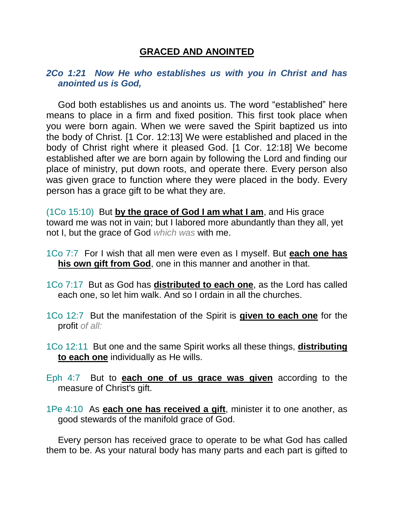## **GRACED AND ANOINTED**

## *2Co 1:21 Now He who establishes us with you in Christ and has anointed us is God,*

God both establishes us and anoints us. The word "established" here means to place in a firm and fixed position. This first took place when you were born again. When we were saved the Spirit baptized us into the body of Christ. [1 Cor. 12:13] We were established and placed in the body of Christ right where it pleased God. [1 Cor. 12:18] We become established after we are born again by following the Lord and finding our place of ministry, put down roots, and operate there. Every person also was given grace to function where they were placed in the body. Every person has a grace gift to be what they are.

(1Co 15:10) But **by the grace of God I am what I am**, and His grace toward me was not in vain; but I labored more abundantly than they all, yet not I, but the grace of God *which was* with me.

- 1Co 7:7 For I wish that all men were even as I myself. But **each one has his own gift from God**, one in this manner and another in that.
- 1Co 7:17 But as God has **distributed to each one**, as the Lord has called each one, so let him walk. And so I ordain in all the churches.
- 1Co 12:7 But the manifestation of the Spirit is **given to each one** for the profit *of all:*
- 1Co 12:11 But one and the same Spirit works all these things, **distributing to each one** individually as He wills.
- Eph 4:7 But to **each one of us grace was given** according to the measure of Christ's gift.
- 1Pe 4:10 As **each one has received a gift**, minister it to one another, as good stewards of the manifold grace of God.

Every person has received grace to operate to be what God has called them to be. As your natural body has many parts and each part is gifted to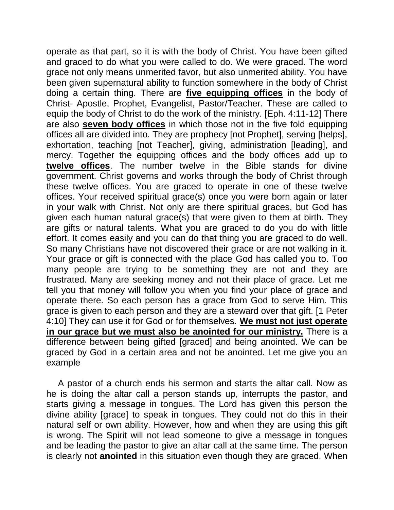operate as that part, so it is with the body of Christ. You have been gifted and graced to do what you were called to do. We were graced. The word grace not only means unmerited favor, but also unmerited ability. You have been given supernatural ability to function somewhere in the body of Christ doing a certain thing. There are **five equipping offices** in the body of Christ- Apostle, Prophet, Evangelist, Pastor/Teacher. These are called to equip the body of Christ to do the work of the ministry. [Eph. 4:11-12] There are also **seven body offices** in which those not in the five fold equipping offices all are divided into. They are prophecy [not Prophet], serving [helps], exhortation, teaching [not Teacher], giving, administration [leading], and mercy. Together the equipping offices and the body offices add up to **twelve offices**. The number twelve in the Bible stands for divine government. Christ governs and works through the body of Christ through these twelve offices. You are graced to operate in one of these twelve offices. Your received spiritual grace(s) once you were born again or later in your walk with Christ. Not only are there spiritual graces, but God has given each human natural grace(s) that were given to them at birth. They are gifts or natural talents. What you are graced to do you do with little effort. It comes easily and you can do that thing you are graced to do well. So many Christians have not discovered their grace or are not walking in it. Your grace or gift is connected with the place God has called you to. Too many people are trying to be something they are not and they are frustrated. Many are seeking money and not their place of grace. Let me tell you that money will follow you when you find your place of grace and operate there. So each person has a grace from God to serve Him. This grace is given to each person and they are a steward over that gift. [1 Peter 4:10] They can use it for God or for themselves. **We must not just operate in our grace but we must also be anointed for our ministry.** There is a difference between being gifted [graced] and being anointed. We can be graced by God in a certain area and not be anointed. Let me give you an example

A pastor of a church ends his sermon and starts the altar call. Now as he is doing the altar call a person stands up, interrupts the pastor, and starts giving a message in tongues. The Lord has given this person the divine ability [grace] to speak in tongues. They could not do this in their natural self or own ability. However, how and when they are using this gift is wrong. The Spirit will not lead someone to give a message in tongues and be leading the pastor to give an altar call at the same time. The person is clearly not **anointed** in this situation even though they are graced. When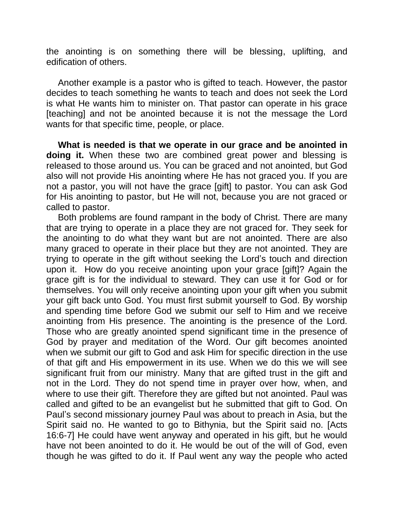the anointing is on something there will be blessing, uplifting, and edification of others.

Another example is a pastor who is gifted to teach. However, the pastor decides to teach something he wants to teach and does not seek the Lord is what He wants him to minister on. That pastor can operate in his grace [teaching] and not be anointed because it is not the message the Lord wants for that specific time, people, or place.

**What is needed is that we operate in our grace and be anointed in doing it.** When these two are combined great power and blessing is released to those around us. You can be graced and not anointed, but God also will not provide His anointing where He has not graced you. If you are not a pastor, you will not have the grace [gift] to pastor. You can ask God for His anointing to pastor, but He will not, because you are not graced or called to pastor.

Both problems are found rampant in the body of Christ. There are many that are trying to operate in a place they are not graced for. They seek for the anointing to do what they want but are not anointed. There are also many graced to operate in their place but they are not anointed. They are trying to operate in the gift without seeking the Lord's touch and direction upon it. How do you receive anointing upon your grace [gift]? Again the grace gift is for the individual to steward. They can use it for God or for themselves. You will only receive anointing upon your gift when you submit your gift back unto God. You must first submit yourself to God. By worship and spending time before God we submit our self to Him and we receive anointing from His presence. The anointing is the presence of the Lord. Those who are greatly anointed spend significant time in the presence of God by prayer and meditation of the Word. Our gift becomes anointed when we submit our gift to God and ask Him for specific direction in the use of that gift and His empowerment in its use. When we do this we will see significant fruit from our ministry. Many that are gifted trust in the gift and not in the Lord. They do not spend time in prayer over how, when, and where to use their gift. Therefore they are gifted but not anointed. Paul was called and gifted to be an evangelist but he submitted that gift to God. On Paul's second missionary journey Paul was about to preach in Asia, but the Spirit said no. He wanted to go to Bithynia, but the Spirit said no. [Acts 16:6-7] He could have went anyway and operated in his gift, but he would have not been anointed to do it. He would be out of the will of God, even though he was gifted to do it. If Paul went any way the people who acted